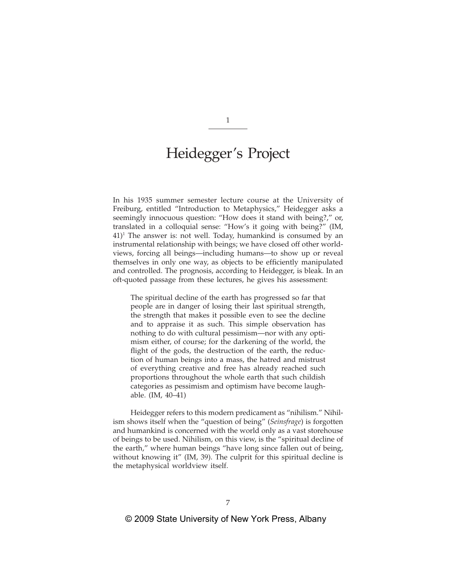# Heidegger's Project

1

In his 1935 summer semester lecture course at the University of Freiburg, entitled "Introduction to Metaphysics," Heidegger asks a seemingly innocuous question: "How does it stand with being?," or, translated in a colloquial sense: "How's it going with being?" (IM,  $41$ <sup>1</sup> The answer is: not well. Today, humankind is consumed by an instrumental relationship with beings; we have closed off other worldviews, forcing all beings—including humans—to show up or reveal themselves in only one way, as objects to be efficiently manipulated and controlled. The prognosis, according to Heidegger, is bleak. In an oft-quoted passage from these lectures, he gives his assessment:

The spiritual decline of the earth has progressed so far that people are in danger of losing their last spiritual strength, the strength that makes it possible even to see the decline and to appraise it as such. This simple observation has nothing to do with cultural pessimism—nor with any optimism either, of course; for the darkening of the world, the flight of the gods, the destruction of the earth, the reduction of human beings into a mass, the hatred and mistrust of everything creative and free has already reached such proportions throughout the whole earth that such childish categories as pessimism and optimism have become laughable. (IM, 40–41)

Heidegger refers to this modern predicament as "nihilism." Nihilism shows itself when the "question of being" (*Seinsfrage*) is forgotten and humankind is concerned with the world only as a vast storehouse of beings to be used. Nihilism, on this view, is the "spiritual decline of the earth," where human beings "have long since fallen out of being, without knowing it" (IM, 39). The culprit for this spiritual decline is the metaphysical worldview itself.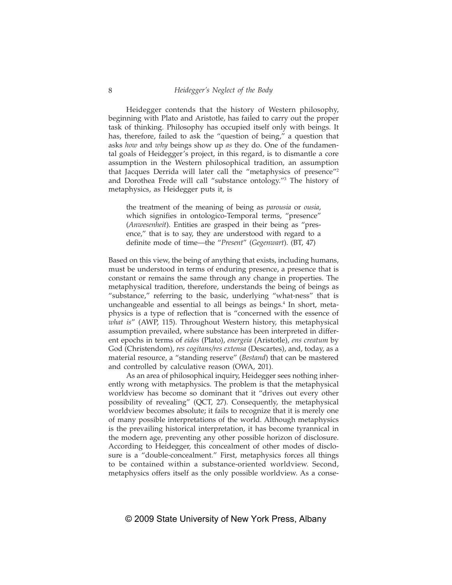Heidegger contends that the history of Western philosophy, beginning with Plato and Aristotle, has failed to carry out the proper task of thinking. Philosophy has occupied itself only with beings. It has, therefore, failed to ask the "question of being," a question that asks *how* and *why* beings show up *as* they do. One of the fundamental goals of Heidegger's project, in this regard, is to dismantle a core assumption in the Western philosophical tradition, an assumption that Jacques Derrida will later call the "metaphysics of presence"2 and Dorothea Frede will call "substance ontology."3 The history of metaphysics, as Heidegger puts it, is

the treatment of the meaning of being as *parousia* or *ousia*, which signifies in ontologico-Temporal terms, "presence" (*Anwesenheit*). Entities are grasped in their being as "presence," that is to say, they are understood with regard to a definite mode of time—the "*Present"* (*Gegenwart*). (BT, 47)

Based on this view, the being of anything that exists, including humans, must be understood in terms of enduring presence, a presence that is constant or remains the same through any change in properties. The metaphysical tradition, therefore, understands the being of beings as "substance," referring to the basic, underlying "what-ness" that is unchangeable and essential to all beings as beings.4 In short, metaphysics is a type of reflection that is "concerned with the essence of *what is*" (AWP, 115). Throughout Western history, this metaphysical assumption prevailed, where substance has been interpreted in different epochs in terms of *eidos* (Plato), *energeia* (Aristotle), *ens creatum* by God (Christendom), *res cogitans/res extensa* (Descartes), and, today, as a material resource, a "standing reserve" (*Bestand*) that can be mastered and controlled by calculative reason (OWA, 201).

As an area of philosophical inquiry, Heidegger sees nothing inherently wrong with metaphysics. The problem is that the metaphysical worldview has become so dominant that it "drives out every other possibility of revealing" (QCT, 27). Consequently, the metaphysical worldview becomes absolute; it fails to recognize that it is merely one of many possible interpretations of the world. Although metaphysics is the prevailing historical interpretation, it has become tyrannical in the modern age, preventing any other possible horizon of disclosure. According to Heidegger, this concealment of other modes of disclosure is a "double-concealment." First, metaphysics forces all things to be contained within a substance-oriented worldview. Second, metaphysics offers itself as the only possible worldview. As a conse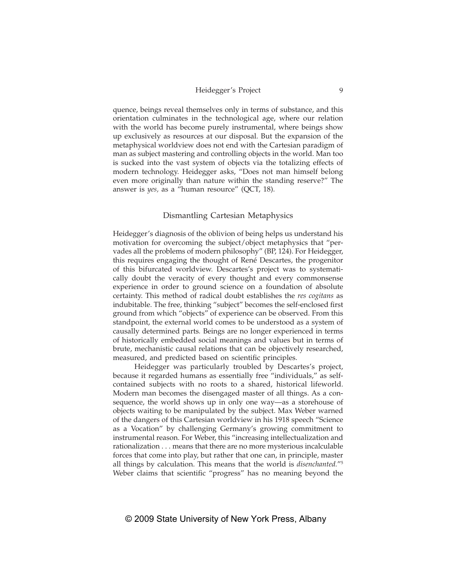quence, beings reveal themselves only in terms of substance, and this orientation culminates in the technological age, where our relation with the world has become purely instrumental, where beings show up exclusively as resources at our disposal. But the expansion of the metaphysical worldview does not end with the Cartesian paradigm of man as subject mastering and controlling objects in the world. Man too is sucked into the vast system of objects via the totalizing effects of modern technology. Heidegger asks, "Does not man himself belong even more originally than nature within the standing reserve?" The answer is *yes,* as a "human resource" (QCT, 18).

## Dismantling Cartesian Metaphysics

Heidegger's diagnosis of the oblivion of being helps us understand his motivation for overcoming the subject/object metaphysics that "pervades all the problems of modern philosophy" (BP, 124). For Heidegger, this requires engaging the thought of René Descartes, the progenitor of this bifurcated worldview. Descartes's project was to systematically doubt the veracity of every thought and every commonsense experience in order to ground science on a foundation of absolute certainty. This method of radical doubt establishes the *res cogitans* as indubitable. The free, thinking "subject" becomes the self-enclosed first ground from which "objects" of experience can be observed. From this standpoint, the external world comes to be understood as a system of causally determined parts*.* Beings are no longer experienced in terms of historically embedded social meanings and values but in terms of brute, mechanistic causal relations that can be objectively researched, measured, and predicted based on scientific principles.

 Heidegger was particularly troubled by Descartes's project, because it regarded humans as essentially free "individuals," as selfcontained subjects with no roots to a shared, historical lifeworld. Modern man becomes the disengaged master of all things. As a consequence, the world shows up in only one way—as a storehouse of objects waiting to be manipulated by the subject. Max Weber warned of the dangers of this Cartesian worldview in his 1918 speech "Science as a Vocation" by challenging Germany's growing commitment to instrumental reason. For Weber, this "increasing intellectualization and rationalization . . . means that there are no more mysterious incalculable forces that come into play, but rather that one can, in principle, master all things by calculation. This means that the world is *disenchanted.*"5 Weber claims that scientific "progress" has no meaning beyond the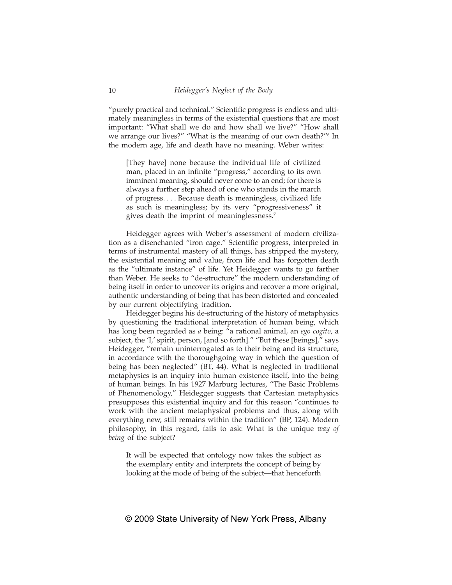"purely practical and technical." Scientific progress is endless and ultimately meaningless in terms of the existential questions that are most important: "What shall we do and how shall we live?" "How shall we arrange our lives?" "What is the meaning of our own death?"6 In the modern age, life and death have no meaning. Weber writes:

[They have] none because the individual life of civilized man, placed in an infinite "progress," according to its own imminent meaning, should never come to an end; for there is always a further step ahead of one who stands in the march of progress. . . . Because death is meaningless, civilized life as such is meaningless; by its very "progressiveness" it gives death the imprint of meaninglessness.7

Heidegger agrees with Weber's assessment of modern civilization as a disenchanted "iron cage." Scientific progress, interpreted in terms of instrumental mastery of all things, has stripped the mystery, the existential meaning and value, from life and has forgotten death as the "ultimate instance" of life. Yet Heidegger wants to go farther than Weber. He seeks to "de-structure" the modern understanding of being itself in order to uncover its origins and recover a more original, authentic understanding of being that has been distorted and concealed by our current objectifying tradition.

Heidegger begins his de-structuring of the history of metaphysics by questioning the traditional interpretation of human being, which has long been regarded as *a* being: "a rational animal, an *ego cogito*, a subject, the 'I,' spirit, person, [and so forth]." "But these [beings]," says Heidegger, "remain uninterrogated as to their being and its structure, in accordance with the thoroughgoing way in which the question of being has been neglected" (BT, 44). What is neglected in traditional metaphysics is an inquiry into human existence itself, into the being of human beings. In his 1927 Marburg lectures, "The Basic Problems of Phenomenology," Heidegger suggests that Cartesian metaphysics presupposes this existential inquiry and for this reason "continues to work with the ancient metaphysical problems and thus, along with everything new, still remains within the tradition" (BP, 124). Modern philosophy, in this regard, fails to ask: What is the unique *way of being* of the subject?

It will be expected that ontology now takes the subject as the exemplary entity and interprets the concept of being by looking at the mode of being of the subject—that henceforth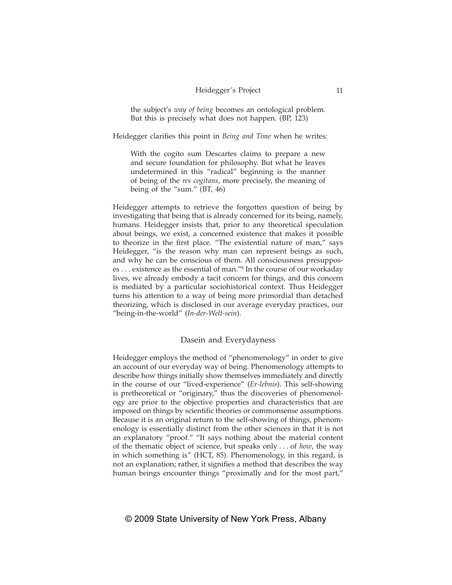the subject's *way of being* becomes an ontological problem. But this is precisely what does not happen. (BP, 123)

Heidegger clarifies this point in *Being and Time* when he writes:

With the cogito sum Descartes claims to prepare a new and secure foundation for philosophy. But what he leaves undetermined in this "radical" beginning is the manner of being of the *res cogitans*, more precisely, the meaning of being of the "sum." (BT, 46)

Heidegger attempts to retrieve the forgotten question of being by investigating that being that is already concerned for its being, namely, humans. Heidegger insists that, prior to any theoretical speculation about beings, we exist, a concerned existence that makes it possible to theorize in the first place. "The existential nature of man," says Heidegger, "is the reason why man can represent beings as such, and why he can be conscious of them. All consciousness presupposes . . . existence as the essential of man."8 In the course of our workaday lives, we already embody a tacit concern for things, and this concern is mediated by a particular sociohistorical context. Thus Heidegger turns his attention to a way of being more primordial than detached theorizing, which is disclosed in our average everyday practices, our "being-in-the-world" (*In-der-Welt-sein*).

## Dasein and Everydayness

Heidegger employs the method of "phenomenology" in order to give an account of our everyday way of being. Phenomenology attempts to describe how things initially show themselves immediately and directly in the course of our "lived-experience" (*Er-lebnis*). This self-showing is pretheoretical or "originary," thus the discoveries of phenomenology are prior to the objective properties and characteristics that are imposed on things by scientific theories or commonsense assumptions. Because it is an original return to the self-showing of things, phenomenology is essentially distinct from the other sciences in that it is not an explanatory "proof." "It says nothing about the material content of the thematic object of science, but speaks only . . . of *how*, the way in which something is" (HCT, 85). Phenomenology, in this regard, is not an explanation; rather, it signifies a method that describes the way human beings encounter things "proximally and for the most part,"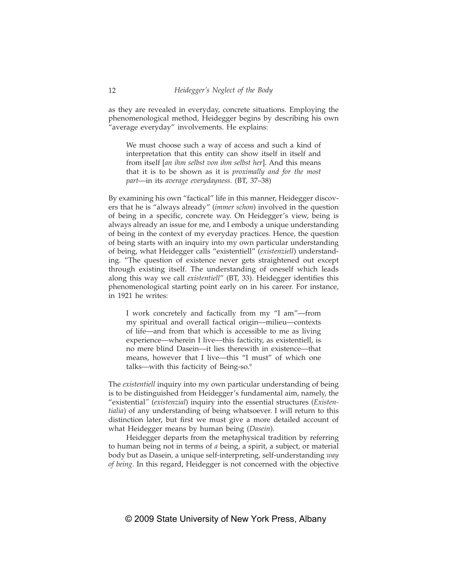as they are revealed in everyday, concrete situations. Employing the phenomenological method, Heidegger begins by describing his own "average everyday" involvements. He explains:

We must choose such a way of access and such a kind of interpretation that this entity can show itself in itself and from itself [*an ihm selbst von ihm selbst her*]. And this means that it is to be shown as it is *proximally and for the most part*—in its *average everydayness.* (BT, 37–38)

By examining his own "factical" life in this manner, Heidegger discovers that he is "always already" (*immer schon*) involved in the question of being in a specific, concrete way. On Heidegger's view, being is always already an issue for me, and I embody a unique understanding of being in the context of my everyday practices. Hence, the question of being starts with an inquiry into my own particular understanding of being, what Heidegger calls "existentiell" (*existenziell*) understanding. "The question of existence never gets straightened out except through existing itself. The understanding of oneself which leads along this way we call *existentiell*" (BT, 33). Heidegger identifies this phenomenological starting point early on in his career. For instance, in 1921 he writes:

I work concretely and factically from my "I am"—from my spiritual and overall factical origin—milieu—contexts of life—and from that which is accessible to me as living experience—wherein I live—this facticity, as existentiell, is no mere blind Dasein—it lies therewith in existence—that means, however that I live—this "I must" of which one talks—with this facticity of Being-so.<sup>9</sup>

The *existentiell* inquiry into my own particular understanding of being is to be distinguished from Heidegger's fundamental aim, namely, the "existential*"* (*existenzial*) inquiry into the essential structures (*Existentialia*) of any understanding of being whatsoever. I will return to this distinction later, but first we must give a more detailed account of what Heidegger means by human being (*Dasein*).

Heidegger departs from the metaphysical tradition by referring to human being not in terms of *a* being, a spirit, a subject, or material body but as Dasein*,* a unique self-interpreting, self-understanding *way of being*. In this regard, Heidegger is not concerned with the objective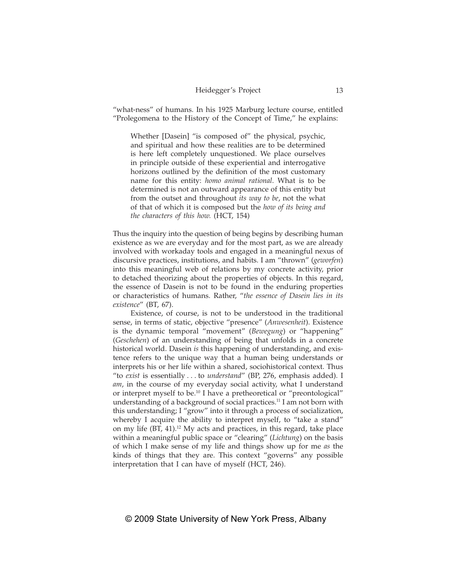"what-ness" of humans. In his 1925 Marburg lecture course, entitled "Prolegomena to the History of the Concept of Time," he explains:

Whether [Dasein] "is composed of" the physical, psychic, and spiritual and how these realities are to be determined is here left completely unquestioned. We place ourselves in principle outside of these experiential and interrogative horizons outlined by the definition of the most customary name for this entity: *homo animal rational*. What is to be determined is not an outward appearance of this entity but from the outset and throughout *its way to be*, not the what of that of which it is composed but the *how of its being and the characters of this how.* (HCT, 154)

Thus the inquiry into the question of being begins by describing human existence as we are everyday and for the most part, as we are already involved with workaday tools and engaged in a meaningful nexus of discursive practices, institutions, and habits. I am "thrown" (*geworfen*) into this meaningful web of relations by my concrete activity, prior to detached theorizing about the properties of objects. In this regard, the essence of Dasein is not to be found in the enduring properties or characteristics of humans. Rather, "*the essence of Dasein lies in its existence*" (BT, 67).

Existence, of course, is not to be understood in the traditional sense, in terms of static, objective "presence" (*Anwesenheit*). Existence is the dynamic temporal "movement" (*Bewegung*) or "happening" (*Geschehen*) of an understanding of being that unfolds in a concrete historical world. Dasein *is* this happening of understanding, and existence refers to the unique way that a human being understands or interprets his or her life within a shared, sociohistorical context. Thus "to *exist* is essentially . . . to *understand*" (BP, 276, emphasis added). I *am*, in the course of my everyday social activity, what I understand or interpret myself to be.<sup>10</sup> I have a pretheoretical or "preontological" understanding of a background of social practices.<sup>11</sup> I am not born with this understanding; I "grow" into it through a process of socialization, whereby I acquire the ability to interpret myself, to "take a stand" on my life (BT, 41).<sup>12</sup> My acts and practices, in this regard, take place within a meaningful public space or "clearing" (*Lichtung*) on the basis of which I make sense of my life and things show up for me *as* the kinds of things that they are. This context "governs" any possible interpretation that I can have of myself (HCT, 246).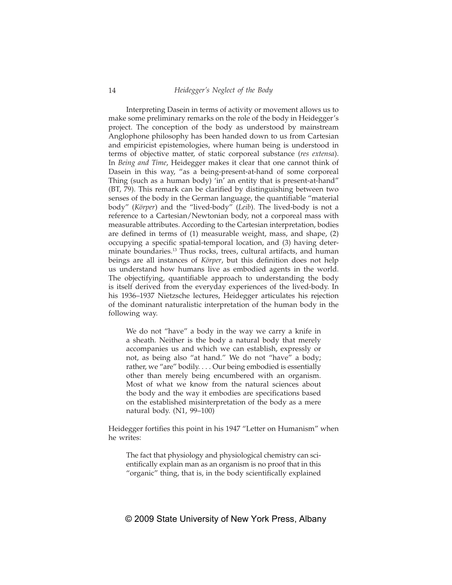Interpreting Dasein in terms of activity or movement allows us to make some preliminary remarks on the role of the body in Heidegger's project. The conception of the body as understood by mainstream Anglophone philosophy has been handed down to us from Cartesian and empiricist epistemologies, where human being is understood in terms of objective matter, of static corporeal substance (*res extensa*). In *Being and Time*, Heidegger makes it clear that one cannot think of Dasein in this way, "as a being-present-at-hand of some corporeal Thing (such as a human body) 'in' an entity that is present-at-hand"  $(BT, 79)$ . This remark can be clarified by distinguishing between two senses of the body in the German language, the quantifiable "material body" (*Körper*) and the "lived-body" (*Leib*). The lived-body is not a reference to a Cartesian/Newtonian body, not a corporeal mass with measurable attributes. According to the Cartesian interpretation, bodies are defined in terms of  $(1)$  measurable weight, mass, and shape,  $(2)$ occupying a specific spatial-temporal location, and (3) having determinate boundaries.13 Thus rocks, trees, cultural artifacts, and human beings are all instances of *Körper*, but this definition does not help us understand how humans live as embodied agents in the world. The objectifying, quantifiable approach to understanding the body is itself derived from the everyday experiences of the lived-body. In his 1936–1937 Nietzsche lectures, Heidegger articulates his rejection of the dominant naturalistic interpretation of the human body in the following way.

We do not "have" a body in the way we carry a knife in a sheath. Neither is the body a natural body that merely accompanies us and which we can establish, expressly or not, as being also "at hand." We do not "have" a body; rather, we "are" bodily. . . . Our being embodied is essentially other than merely being encumbered with an organism. Most of what we know from the natural sciences about the body and the way it embodies are specifications based on the established misinterpretation of the body as a mere natural body. (N1, 99–100)

Heidegger fortifies this point in his 1947 "Letter on Humanism" when he writes:

The fact that physiology and physiological chemistry can scientifically explain man as an organism is no proof that in this "organic" thing, that is, in the body scientifically explained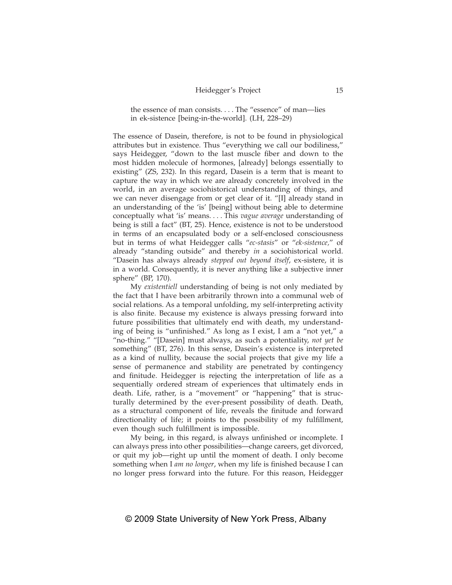#### Heidegger's Project 15

the essence of man consists. . . . The "essence" of man—lies in ek-sistence [being-in-the-world]. (LH, 228–29)

The essence of Dasein, therefore, is not to be found in physiological attributes but in existence. Thus "everything we call our bodiliness," says Heidegger, "down to the last muscle fiber and down to the most hidden molecule of hormones, [already] belongs essentially to existing" (ZS, 232). In this regard, Dasein is a term that is meant to capture the way in which we are already concretely involved in the world, in an average sociohistorical understanding of things, and we can never disengage from or get clear of it. "[I] already stand in an understanding of the 'is' [being] without being able to determine conceptually what 'is' means. . . . This *vague average* understanding of being is still a fact" (BT, 25). Hence, existence is not to be understood in terms of an encapsulated body or a self-enclosed consciousness but in terms of what Heidegger calls "*ec-stasis*" or "*ek-sistence,*" of already "standing outside" and thereby *in* a sociohistorical world. "Dasein has always already *stepped out beyond itself*, ex-sistere, it is in a world. Consequently, it is never anything like a subjective inner sphere" (BP, 170).

My *existentiell* understanding of being is not only mediated by the fact that I have been arbitrarily thrown into a communal web of social relations. As a temporal unfolding, my self-interpreting activity is also finite. Because my existence is always pressing forward into future possibilities that ultimately end with death, my understanding of being is "unfinished." As long as I exist, I am a "not yet," a "no-thing." "[Dasein] must always, as such a potentiality, *not yet be*  something" (BT, 276). In this sense, Dasein's existence is interpreted as a kind of nullity, because the social projects that give my life a sense of permanence and stability are penetrated by contingency and finitude. Heidegger is rejecting the interpretation of life as a sequentially ordered stream of experiences that ultimately ends in death. Life, rather, is a "movement" or "happening" that is structurally determined by the ever-present possibility of death. Death, as a structural component of life, reveals the finitude and forward directionality of life; it points to the possibility of my fulfillment, even though such fulfillment is impossible.

My being, in this regard, is always unfinished or incomplete. I can always press into other possibilities—change careers, get divorced, or quit my job—right up until the moment of death. I only become something when I am no longer, when my life is finished because I can no longer press forward into the future. For this reason, Heidegger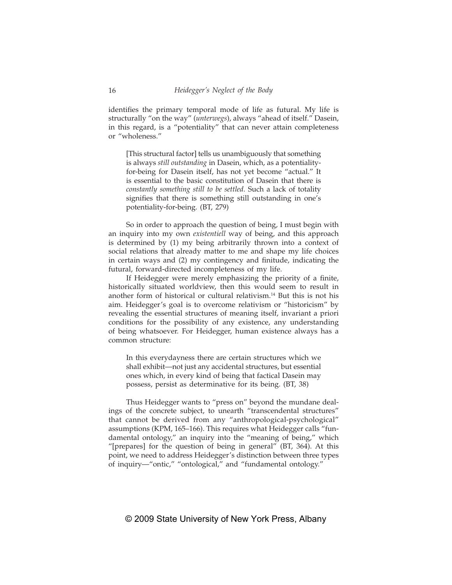identifies the primary temporal mode of life as futural. My life is structurally "on the way" (*unterwegs*), always "ahead of itself." Dasein, in this regard, is a "potentiality" that can never attain completeness or "wholeness."

[This structural factor] tells us unambiguously that something is always *still outstanding* in Dasein, which, as a potentialityfor-being for Dasein itself, has not yet become "actual." It is essential to the basic constitution of Dasein that there is *constantly something still to be settled*. Such a lack of totality signifies that there is something still outstanding in one's potentiality-for-being. (BT, 279)

So in order to approach the question of being, I must begin with an inquiry into my own *existentiell* way of being, and this approach is determined by (1) my being arbitrarily thrown into a context of social relations that already matter to me and shape my life choices in certain ways and (2) my contingency and finitude, indicating the futural, forward-directed incompleteness of my life.

If Heidegger were merely emphasizing the priority of a finite, historically situated worldview, then this would seem to result in another form of historical or cultural relativism.14 But this is not his aim. Heidegger's goal is to overcome relativism or "historicism" by revealing the essential structures of meaning itself, invariant a priori conditions for the possibility of any existence, any understanding of being whatsoever. For Heidegger, human existence always has a common structure:

In this everydayness there are certain structures which we shall exhibit—not just any accidental structures, but essential ones which, in every kind of being that factical Dasein may possess, persist as determinative for its being. (BT, 38)

Thus Heidegger wants to "press on" beyond the mundane dealings of the concrete subject, to unearth "transcendental structures" that cannot be derived from any "anthropological-psychological" assumptions (KPM, 165–166). This requires what Heidegger calls "fundamental ontology," an inquiry into the "meaning of being," which "[prepares] for the question of being in general" (BT, 364). At this point, we need to address Heidegger's distinction between three types of inquiry—"ontic," "ontological," and "fundamental ontology."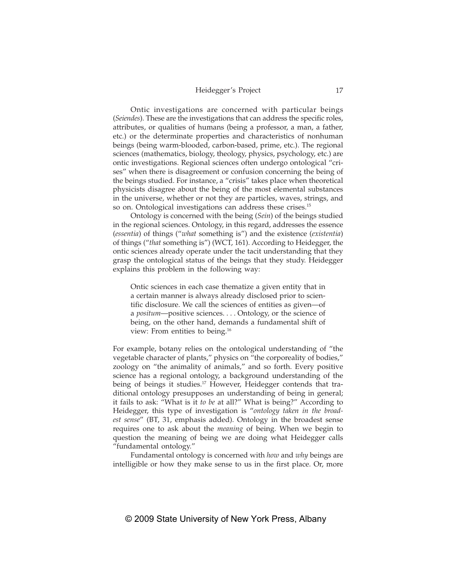Ontic investigations are concerned with particular beings (*Seiendes*). These are the investigations that can address the specific roles, attributes, or qualities of humans (being a professor, a man, a father, etc.) or the determinate properties and characteristics of nonhuman beings (being warm-blooded, carbon-based, prime, etc.). The regional sciences (mathematics, biology, theology, physics, psychology, etc.) are ontic investigations. Regional sciences often undergo ontological "crises" when there is disagreement or confusion concerning the being of the beings studied. For instance, a "crisis" takes place when theoretical physicists disagree about the being of the most elemental substances in the universe, whether or not they are particles, waves, strings, and so on. Ontological investigations can address these crises.<sup>15</sup>

Ontology is concerned with the being (*Sein*) of the beings studied in the regional sciences. Ontology, in this regard, addresses the essence (*essentia*) of things ("*what* something is") and the existence (*existentia*) of things ("*that* something is") (WCT, 161). According to Heidegger, the ontic sciences already operate under the tacit understanding that they grasp the ontological status of the beings that they study. Heidegger explains this problem in the following way:

Ontic sciences in each case thematize a given entity that in a certain manner is always already disclosed prior to scientific disclosure. We call the sciences of entities as given—of a *positum*—positive sciences. . . . Ontology, or the science of being, on the other hand, demands a fundamental shift of view: From entities to being.16

For example, botany relies on the ontological understanding of "the vegetable character of plants," physics on "the corporeality of bodies," zoology on "the animality of animals," and so forth. Every positive science has a regional ontology, a background understanding of the being of beings it studies.<sup>17</sup> However, Heidegger contends that traditional ontology presupposes an understanding of being in general; it fails to ask: "What is it *to be* at all?" What is being?" According to Heidegger, this type of investigation is "*ontology taken in the broadest sense*" (BT, 31, emphasis added). Ontology in the broadest sense requires one to ask about the *meaning* of being. When we begin to question the meaning of being we are doing what Heidegger calls "fundamental ontology."

Fundamental ontology is concerned with *how* and *why* beings are intelligible or how they make sense to us in the first place. Or, more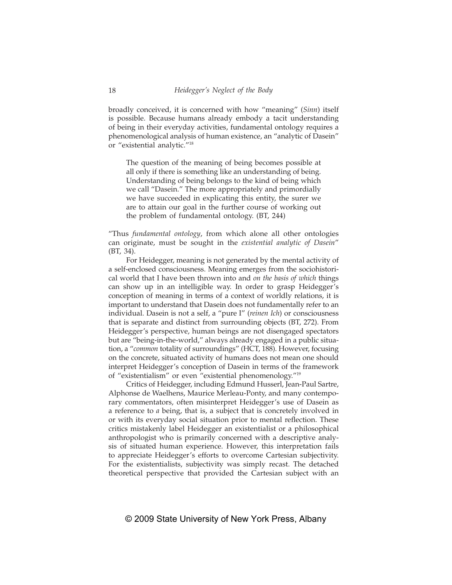broadly conceived, it is concerned with how "meaning" (*Sinn*) itself is possible. Because humans already embody a tacit understanding of being in their everyday activities, fundamental ontology requires a phenomenological analysis of human existence, an "analytic of Dasein" or "existential analytic."18

The question of the meaning of being becomes possible at all only if there is something like an understanding of being. Understanding of being belongs to the kind of being which we call "Dasein." The more appropriately and primordially we have succeeded in explicating this entity, the surer we are to attain our goal in the further course of working out the problem of fundamental ontology. (BT, 244)

"Thus *fundamental ontology*, from which alone all other ontologies can originate, must be sought in the *existential analytic of Dasein*" (BT, 34).

For Heidegger, meaning is not generated by the mental activity of a self-enclosed consciousness. Meaning emerges from the sociohistorical world that I have been thrown into and *on the basis of which* things can show up in an intelligible way. In order to grasp Heidegger's conception of meaning in terms of a context of worldly relations, it is important to understand that Dasein does not fundamentally refer to an individual. Dasein is not a self, a "pure I" (*reinen Ich*) or consciousness that is separate and distinct from surrounding objects (BT, 272). From Heidegger's perspective, human beings are not disengaged spectators but are "being-in-the-world," always already engaged in a public situation, a "*common* totality of surroundings" (HCT, 188). However, focusing on the concrete, situated activity of humans does not mean one should interpret Heidegger's conception of Dasein in terms of the framework of "existentialism" or even "existential phenomenology."19

Critics of Heidegger, including Edmund Husserl, Jean-Paul Sartre, Alphonse de Waelhens, Maurice Merleau-Ponty, and many contemporary commentators, often misinterpret Heidegger's use of Dasein as a reference to *a* being, that is, a subject that is concretely involved in or with its everyday social situation prior to mental reflection. These critics mistakenly label Heidegger an existentialist or a philosophical anthropologist who is primarily concerned with a descriptive analysis of situated human experience. However, this interpretation fails to appreciate Heidegger's efforts to overcome Cartesian subjectivity. For the existentialists, subjectivity was simply recast. The detached theoretical perspective that provided the Cartesian subject with an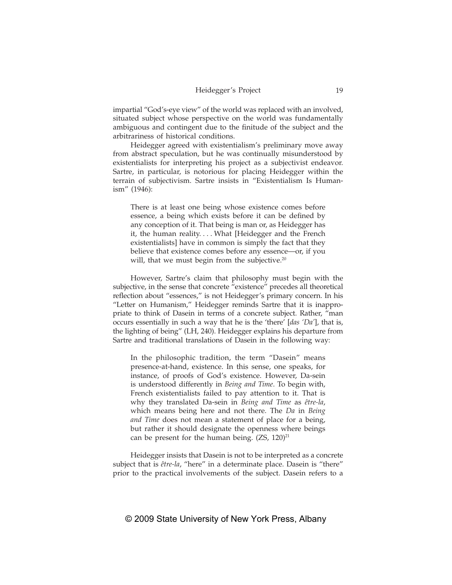impartial "God's-eye view" of the world was replaced with an involved, situated subject whose perspective on the world was fundamentally ambiguous and contingent due to the finitude of the subject and the arbitrariness of historical conditions.

Heidegger agreed with existentialism's preliminary move away from abstract speculation, but he was continually misunderstood by existentialists for interpreting his project as a subjectivist endeavor. Sartre, in particular, is notorious for placing Heidegger within the terrain of subjectivism. Sartre insists in "Existentialism Is Humanism" (1946):

There is at least one being whose existence comes before essence, a being which exists before it can be defined by any conception of it. That being is man or, as Heidegger has it, the human reality. . . . What [Heidegger and the French existentialists] have in common is simply the fact that they believe that existence comes before any essence—or, if you will, that we must begin from the subjective.<sup>20</sup>

However, Sartre's claim that philosophy must begin with the subjective, in the sense that concrete "existence" precedes all theoretical reflection about "essences," is not Heidegger's primary concern. In his "Letter on Humanism," Heidegger reminds Sartre that it is inappropriate to think of Dasein in terms of a concrete subject. Rather, "man occurs essentially in such a way that he is the 'there' [*das 'Da'*], that is, the lighting of being" (LH, 240). Heidegger explains his departure from Sartre and traditional translations of Dasein in the following way:

In the philosophic tradition, the term "Dasein" means presence-at-hand, existence. In this sense, one speaks, for instance, of proofs of God's existence. However, Da-sein is understood differently in *Being and Time*. To begin with, French existentialists failed to pay attention to it. That is why they translated Da-sein in *Being and Time* as *être-la*, which means being here and not there. The *Da* in *Being and Time* does not mean a statement of place for a being, but rather it should designate the openness where beings can be present for the human being.  $(ZS, 120)^{21}$ 

Heidegger insists that Dasein is not to be interpreted as a concrete subject that is *être-la*, "here" in a determinate place. Dasein is "there" prior to the practical involvements of the subject. Dasein refers to a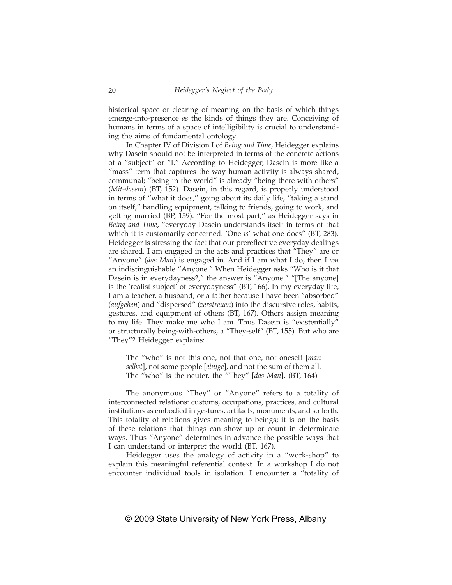historical space or clearing of meaning on the basis of which things emerge-into-presence *as* the kinds of things they are. Conceiving of humans in terms of a space of intelligibility is crucial to understanding the aims of fundamental ontology.

In Chapter IV of Division I of *Being and Time*, Heidegger explains why Dasein should not be interpreted in terms of the concrete actions of a "subject" or "I." According to Heidegger, Dasein is more like a "mass" term that captures the way human activity is always shared, communal; "being-in-the-world" is already "being-there-with-others" (*Mit-dasein*) (BT, 152). Dasein, in this regard, is properly understood in terms of "what it does," going about its daily life, "taking a stand on itself," handling equipment, talking to friends, going to work, and getting married (BP, 159). "For the most part," as Heidegger says in *Being and Time*, "everyday Dasein understands itself in terms of that which it is customarily concerned. 'One *is*' what one does" (BT, 283). Heidegger is stressing the fact that our prereflective everyday dealings are shared. I am engaged in the acts and practices that "They" are or "Anyone" (*das Man*) is engaged in. And if I am what I do, then I *am* an indistinguishable "Anyone." When Heidegger asks "Who is it that Dasein is in everydayness?," the answer is "Anyone." "[The anyone] is the 'realist subject' of everydayness" (BT, 166). In my everyday life, I am a teacher, a husband, or a father because I have been "absorbed" (*aufgehen*) and "dispersed" (*zerstreuen*) into the discursive roles, habits, gestures, and equipment of others (BT, 167). Others assign meaning to my life. They make me who I am. Thus Dasein is "existentially" or structurally being-with-others, a "They-self" (BT, 155). But who are "They"? Heidegger explains:

The "who" is not this one, not that one, not oneself [*man selbst*], not some people [*einige*], and not the sum of them all. The "who" is the neuter, the "They" [*das Man*]. (BT, 164)

The anonymous "They" or "Anyone" refers to a totality of interconnected relations: customs, occupations, practices, and cultural institutions as embodied in gestures, artifacts, monuments, and so forth. This totality of relations gives meaning to beings; it is on the basis of these relations that things can show up or count in determinate ways. Thus "Anyone" determines in advance the possible ways that I can understand or interpret the world (BT, 167).

Heidegger uses the analogy of activity in a "work-shop" to explain this meaningful referential context. In a workshop I do not encounter individual tools in isolation. I encounter a "totality of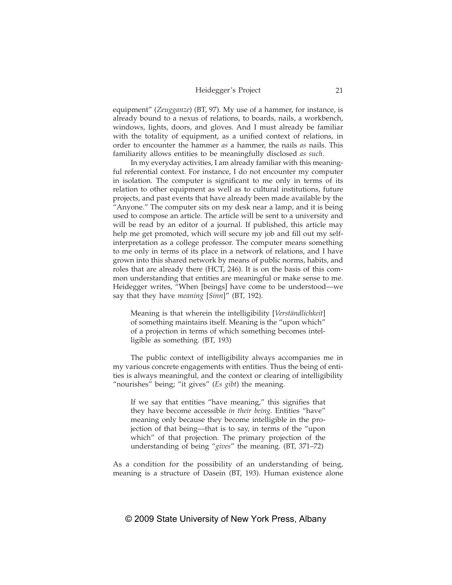equipment" (*Zeugganze*) (BT, 97). My use of a hammer, for instance, is already bound to a nexus of relations, to boards, nails, a workbench, windows, lights, doors, and gloves. And I must already be familiar with the totality of equipment, as a unified context of relations, in order to encounter the hammer *as* a hammer, the nails *as* nails. This familiarity allows entities to be meaningfully disclosed *as such*.

In my everyday activities, I am already familiar with this meaningful referential context. For instance, I do not encounter my computer in isolation. The computer is significant to me only in terms of its relation to other equipment as well as to cultural institutions, future projects, and past events that have already been made available by the "Anyone." The computer sits on my desk near a lamp, and it is being used to compose an article. The article will be sent to a university and will be read by an editor of a journal. If published, this article may help me get promoted, which will secure my job and fill out my selfinterpretation as a college professor. The computer means something to me only in terms of its place in a network of relations, and I have grown into this shared network by means of public norms, habits, and roles that are already there (HCT, 246). It is on the basis of this common understanding that entities are meaningful or make sense to me. Heidegger writes, "When [beings] have come to be understood—we say that they have *meaning* [*Sinn*]" (BT, 192).

Meaning is that wherein the intelligibility [*Verständlichkeit*] of something maintains itself. Meaning is the "upon which" of a projection in terms of which something becomes intelligible as something. (BT, 193)

The public context of intelligibility always accompanies me in my various concrete engagements with entities. Thus the being of entities is always meaningful, and the context or clearing of intelligibility "nourishes" being; "it gives" (*Es gibt*) the meaning.

If we say that entities "have meaning," this signifies that they have become accessible *in their being*. Entities "have" meaning only because they become intelligible in the projection of that being—that is to say, in terms of the "upon which" of that projection. The primary projection of the understanding of being "*gives*" the meaning. (BT, 371–72)

As a condition for the possibility of an understanding of being, meaning is a structure of Dasein (BT, 193). Human existence alone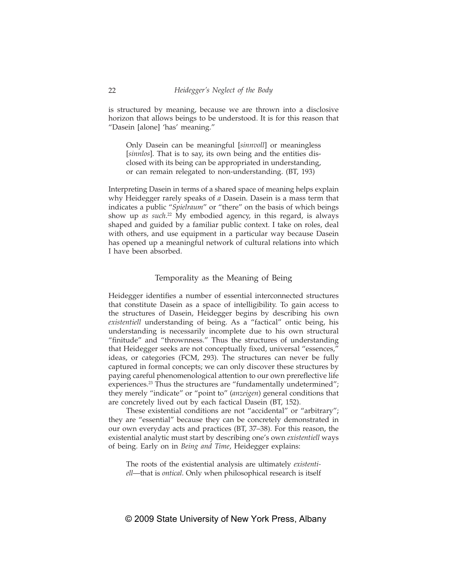is structured by meaning, because we are thrown into a disclosive horizon that allows beings to be understood. It is for this reason that "Dasein [alone] 'has' meaning."

Only Dasein can be meaningful [*sinnvoll*] or meaningless [*sinnlos*]. That is to say, its own being and the entities disclosed with its being can be appropriated in understanding, or can remain relegated to non-understanding. (BT, 193)

Interpreting Dasein in terms of a shared space of meaning helps explain why Heidegger rarely speaks of *a* Dasein. Dasein is a mass term that indicates a public "*Spielraum*" or "there" on the basis of which beings show up *as such*. 22 My embodied agency, in this regard, is always shaped and guided by a familiar public context. I take on roles, deal with others, and use equipment in a particular way because Dasein has opened up a meaningful network of cultural relations into which I have been absorbed.

### Temporality as the Meaning of Being

Heidegger identifies a number of essential interconnected structures that constitute Dasein as a space of intelligibility. To gain access to the structures of Dasein, Heidegger begins by describing his own *existentiell* understanding of being. As a "factical" ontic being, his understanding is necessarily incomplete due to his own structural "finitude" and "thrownness." Thus the structures of understanding that Heidegger seeks are not conceptually fixed, universal "essences," ideas, or categories (FCM, 293). The structures can never be fully captured in formal concepts; we can only discover these structures by paying careful phenomenological attention to our own prereflective life experiences.<sup>23</sup> Thus the structures are "fundamentally undetermined"; they merely "indicate" or "point to" (*anzeigen*) general conditions that are concretely lived out by each factical Dasein (BT, 152).

These existential conditions are not "accidental" or "arbitrary"; they are "essential" because they can be concretely demonstrated in our own everyday acts and practices (BT, 37–38). For this reason, the existential analytic must start by describing one's own *existentiell* ways of being. Early on in *Being and Time*, Heidegger explains:

The roots of the existential analysis are ultimately *existentiell*—that is *ontical*. Only when philosophical research is itself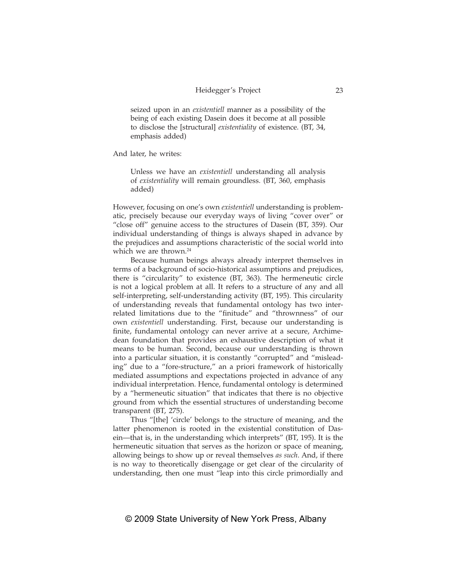seized upon in an *existentiell* manner as a possibility of the being of each existing Dasein does it become at all possible to disclose the [structural] *existentiality* of existence. (BT, 34, emphasis added)

And later, he writes:

Unless we have an *existentiell* understanding all analysis of *existentiality* will remain groundless. (BT, 360, emphasis added)

However, focusing on one's own *existentiell* understanding is problematic, precisely because our everyday ways of living "cover over" or "close off" genuine access to the structures of Dasein (BT, 359). Our individual understanding of things is always shaped in advance by the prejudices and assumptions characteristic of the social world into which we are thrown.<sup>24</sup>

Because human beings always already interpret themselves in terms of a background of socio-historical assumptions and prejudices, there is "circularity" to existence (BT, 363). The hermeneutic circle is not a logical problem at all. It refers to a structure of any and all self-interpreting, self-understanding activity (BT, 195). This circularity of understanding reveals that fundamental ontology has two interrelated limitations due to the "finitude" and "thrownness" of our own *existentiell* understanding. First, because our understanding is finite, fundamental ontology can never arrive at a secure, Archimedean foundation that provides an exhaustive description of what it means to be human. Second, because our understanding is thrown into a particular situation, it is constantly "corrupted" and "misleading" due to a "fore-structure," an a priori framework of historically mediated assumptions and expectations projected in advance of any individual interpretation. Hence, fundamental ontology is determined by a "hermeneutic situation" that indicates that there is no objective ground from which the essential structures of understanding become transparent (BT, 275).

Thus "[the] 'circle' belongs to the structure of meaning, and the latter phenomenon is rooted in the existential constitution of Dasein—that is, in the understanding which interprets" (BT, 195). It is the hermeneutic situation that serves as the horizon or space of meaning, allowing beings to show up or reveal themselves *as such*. And, if there is no way to theoretically disengage or get clear of the circularity of understanding, then one must "leap into this circle primordially and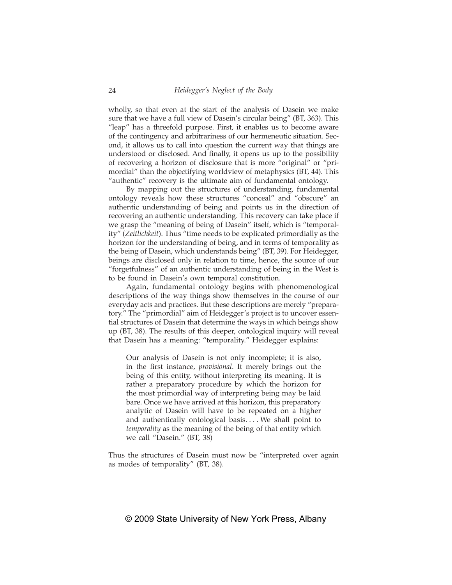wholly, so that even at the start of the analysis of Dasein we make sure that we have a full view of Dasein's circular being" (BT, 363). This "leap" has a threefold purpose. First, it enables us to become aware of the contingency and arbitrariness of our hermeneutic situation. Second, it allows us to call into question the current way that things are understood or disclosed. And finally, it opens us up to the possibility of recovering a horizon of disclosure that is more "original" or "primordial" than the objectifying worldview of metaphysics (BT, 44). This "authentic" recovery is the ultimate aim of fundamental ontology.

By mapping out the structures of understanding, fundamental ontology reveals how these structures "conceal" and "obscure" an authentic understanding of being and points us in the direction of recovering an authentic understanding. This recovery can take place if we grasp the "meaning of being of Dasein" itself, which is "temporality" (*Zeitlichkeit*). Thus "time needs to be explicated primordially as the horizon for the understanding of being, and in terms of temporality as the being of Dasein, which understands being" (BT, 39). For Heidegger, beings are disclosed only in relation to time, hence, the source of our "forgetfulness" of an authentic understanding of being in the West is to be found in Dasein's own temporal constitution.

Again, fundamental ontology begins with phenomenological descriptions of the way things show themselves in the course of our everyday acts and practices. But these descriptions are merely "preparatory." The "primordial" aim of Heidegger's project is to uncover essential structures of Dasein that determine the ways in which beings show up (BT, 38). The results of this deeper, ontological inquiry will reveal that Dasein has a meaning: "temporality." Heidegger explains:

Our analysis of Dasein is not only incomplete; it is also, in the first instance, *provisional*. It merely brings out the being of this entity, without interpreting its meaning. It is rather a preparatory procedure by which the horizon for the most primordial way of interpreting being may be laid bare. Once we have arrived at this horizon, this preparatory analytic of Dasein will have to be repeated on a higher and authentically ontological basis. . . . We shall point to *temporality* as the meaning of the being of that entity which we call "Dasein." (BT, 38)

Thus the structures of Dasein must now be "interpreted over again as modes of temporality" (BT, 38).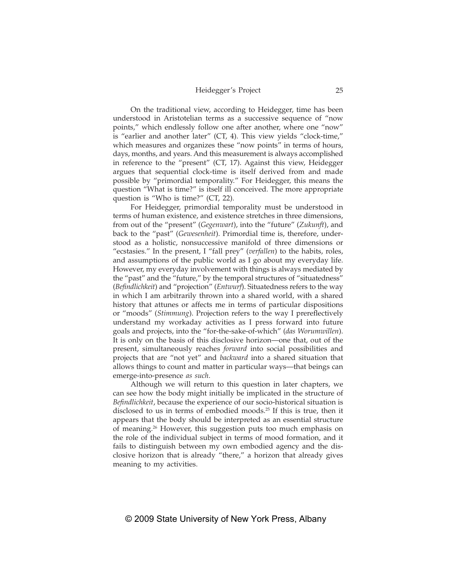On the traditional view, according to Heidegger, time has been understood in Aristotelian terms as a successive sequence of "now points," which endlessly follow one after another, where one "now" is "earlier and another later" (CT, 4). This view yields "clock-time," which measures and organizes these "now points" in terms of hours, days, months, and years. And this measurement is always accomplished in reference to the "present" (CT, 17). Against this view, Heidegger argues that sequential clock-time is itself derived from and made possible by "primordial temporality." For Heidegger, this means the question "What is time?" is itself ill conceived. The more appropriate question is "Who is time?" (CT, 22).

For Heidegger, primordial temporality must be understood in terms of human existence, and existence stretches in three dimensions, from out of the "present" (*Gegenwart*), into the "future" (*Zukunft*), and back to the "past" (*Gewesenheit*). Primordial time is, therefore, understood as a holistic, nonsuccessive manifold of three dimensions or "ecstasies." In the present, I "fall prey" (*verfallen*) to the habits, roles, and assumptions of the public world as I go about my everyday life. However, my everyday involvement with things is always mediated by the "past" and the "future," by the temporal structures of "situatedness" (*Befindlichkeit*) and "projection" (*Entwurf*). Situatedness refers to the way in which I am arbitrarily thrown into a shared world, with a shared history that attunes or affects me in terms of particular dispositions or "moods" (*Stimmung*). Projection refers to the way I prereflectively understand my workaday activities as I press forward into future goals and projects, into the "for-the-sake-of-which" (*das Worumwillen*). It is only on the basis of this disclosive horizon—one that, out of the present, simultaneously reaches *forward* into social possibilities and projects that are "not yet" and *backward* into a shared situation that allows things to count and matter in particular ways—that beings can emerge-into-presence *as such*.

Although we will return to this question in later chapters, we can see how the body might initially be implicated in the structure of *Befindlichkeit*, because the experience of our socio-historical situation is disclosed to us in terms of embodied moods.25 If this is true, then it appears that the body should be interpreted as an essential structure of meaning.26 However, this suggestion puts too much emphasis on the role of the individual subject in terms of mood formation, and it fails to distinguish between my own embodied agency and the disclosive horizon that is already "there," a horizon that already gives meaning to my activities.